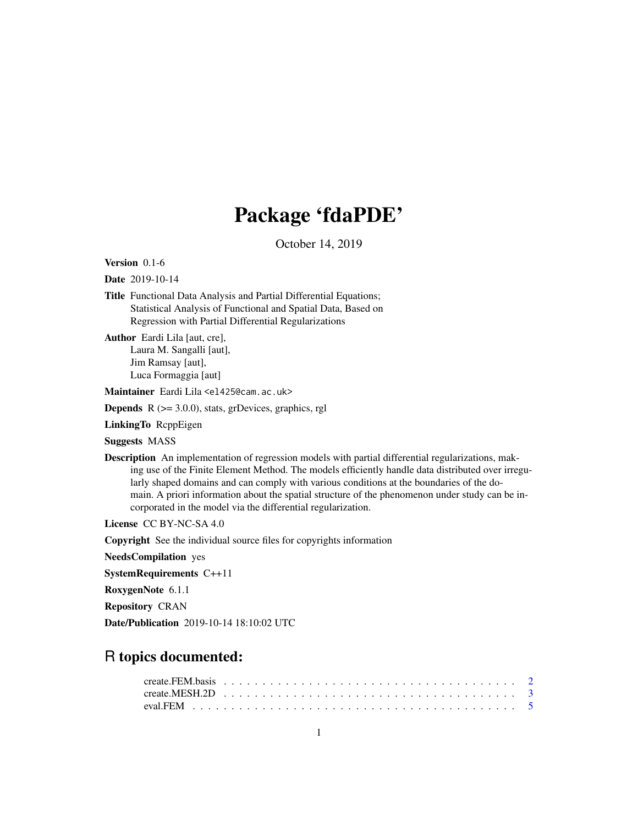## Package 'fdaPDE'

October 14, 2019

<span id="page-0-0"></span>Version 0.1-6

Date 2019-10-14

Title Functional Data Analysis and Partial Differential Equations; Statistical Analysis of Functional and Spatial Data, Based on Regression with Partial Differential Regularizations

Author Eardi Lila [aut, cre], Laura M. Sangalli [aut], Jim Ramsay [aut], Luca Formaggia [aut]

Maintainer Eardi Lila <el425@cam.ac.uk>

**Depends**  $R$  ( $>= 3.0.0$ ), stats, grDevices, graphics, rgl

LinkingTo RcppEigen

Suggests MASS

Description An implementation of regression models with partial differential regularizations, making use of the Finite Element Method. The models efficiently handle data distributed over irregularly shaped domains and can comply with various conditions at the boundaries of the domain. A priori information about the spatial structure of the phenomenon under study can be incorporated in the model via the differential regularization.

License CC BY-NC-SA 4.0

Copyright See the individual source files for copyrights information

NeedsCompilation yes

SystemRequirements C++11

RoxygenNote 6.1.1

Repository CRAN

Date/Publication 2019-10-14 18:10:02 UTC

## R topics documented: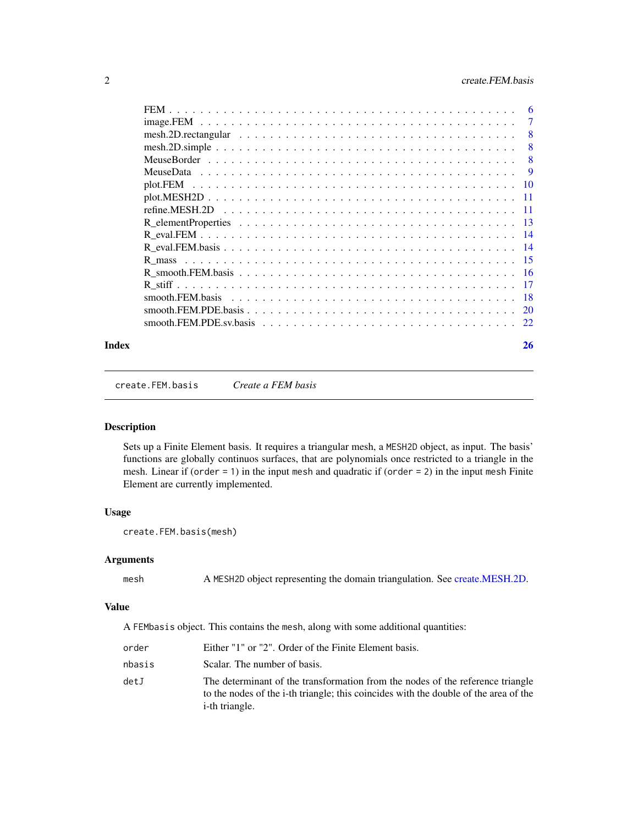<span id="page-1-0"></span>

| 6   |
|-----|
| 7   |
| -8  |
| 8   |
| 8   |
|     |
|     |
|     |
|     |
|     |
|     |
|     |
|     |
|     |
|     |
| -18 |
|     |
|     |
|     |

#### **Index** [26](#page-25-0)

<span id="page-1-1"></span>create.FEM.basis *Create a FEM basis*

#### Description

Sets up a Finite Element basis. It requires a triangular mesh, a MESH2D object, as input. The basis' functions are globally continuos surfaces, that are polynomials once restricted to a triangle in the mesh. Linear if (order  $= 1$ ) in the input mesh and quadratic if (order  $= 2$ ) in the input mesh Finite Element are currently implemented.

#### Usage

```
create.FEM.basis(mesh)
```
## Arguments

mesh A MESH2D object representing the domain triangulation. See [create.MESH.2D.](#page-2-1)

#### Value

A FEMbasis object. This contains the mesh, along with some additional quantities:

| order  | Either "1" or "2". Order of the Finite Element basis.                                                                                                                                            |
|--------|--------------------------------------------------------------------------------------------------------------------------------------------------------------------------------------------------|
| nbasis | Scalar. The number of basis.                                                                                                                                                                     |
| detJ   | The determinant of the transformation from the nodes of the reference triangle<br>to the nodes of the i-th triangle; this coincides with the double of the area of the<br><i>i</i> -th triangle. |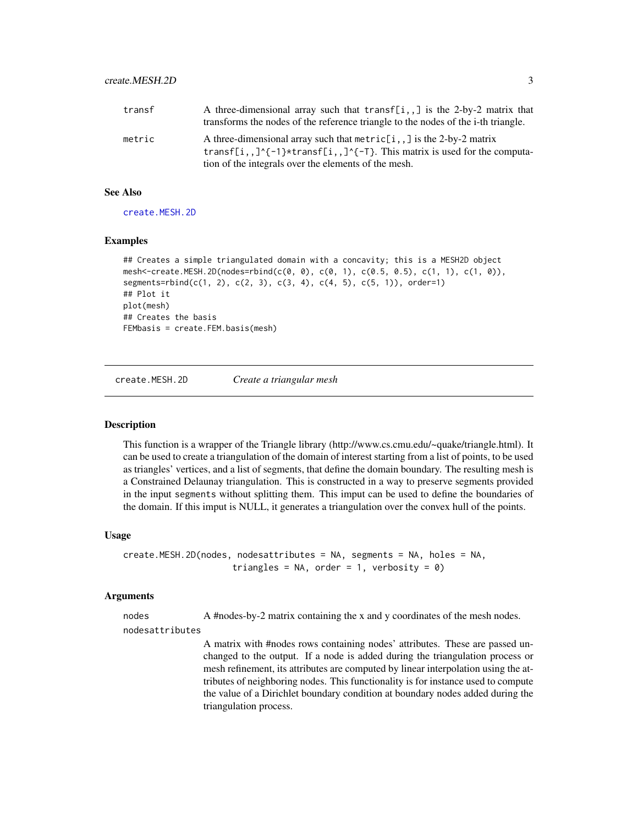<span id="page-2-0"></span>

| transf | A three-dimensional array such that transf[i,,] is the 2-by-2 matrix that         |
|--------|-----------------------------------------------------------------------------------|
|        | transforms the nodes of the reference triangle to the nodes of the i-th triangle. |
| metric | A three-dimensional array such that $metric[i, ]$ is the 2-by-2 matrix            |
|        | transf[i,,]^{-1}*transf[i,,]^{-T}. This matrix is used for the computa-           |
|        | tion of the integrals over the elements of the mesh.                              |

#### See Also

[create.MESH.2D](#page-2-1)

## **Examples**

```
## Creates a simple triangulated domain with a concavity; this is a MESH2D object
mesh<-create.MESH.2D(nodes=rbind(c(0, 0), c(0, 1), c(0.5, 0.5), c(1, 1), c(1, 0)),
segments=rbind(c(1, 2), c(2, 3), c(3, 4), c(4, 5), c(5, 1)), order=1)
## Plot it
plot(mesh)
## Creates the basis
FEMbasis = create.FEM.basis(mesh)
```
<span id="page-2-1"></span>create.MESH.2D *Create a triangular mesh*

## **Description**

This function is a wrapper of the Triangle library (http://www.cs.cmu.edu/~quake/triangle.html). It can be used to create a triangulation of the domain of interest starting from a list of points, to be used as triangles' vertices, and a list of segments, that define the domain boundary. The resulting mesh is a Constrained Delaunay triangulation. This is constructed in a way to preserve segments provided in the input segments without splitting them. This imput can be used to define the boundaries of the domain. If this imput is NULL, it generates a triangulation over the convex hull of the points.

#### Usage

```
create.MESH.2D(nodes, nodesattributes = NA, segments = NA, holes = NA,
                      triangles = NA, order = 1, verbosity = \theta)
```
#### Arguments

nodes A #nodes-by-2 matrix containing the x and y coordinates of the mesh nodes.

nodesattributes

A matrix with #nodes rows containing nodes' attributes. These are passed unchanged to the output. If a node is added during the triangulation process or mesh refinement, its attributes are computed by linear interpolation using the attributes of neighboring nodes. This functionality is for instance used to compute the value of a Dirichlet boundary condition at boundary nodes added during the triangulation process.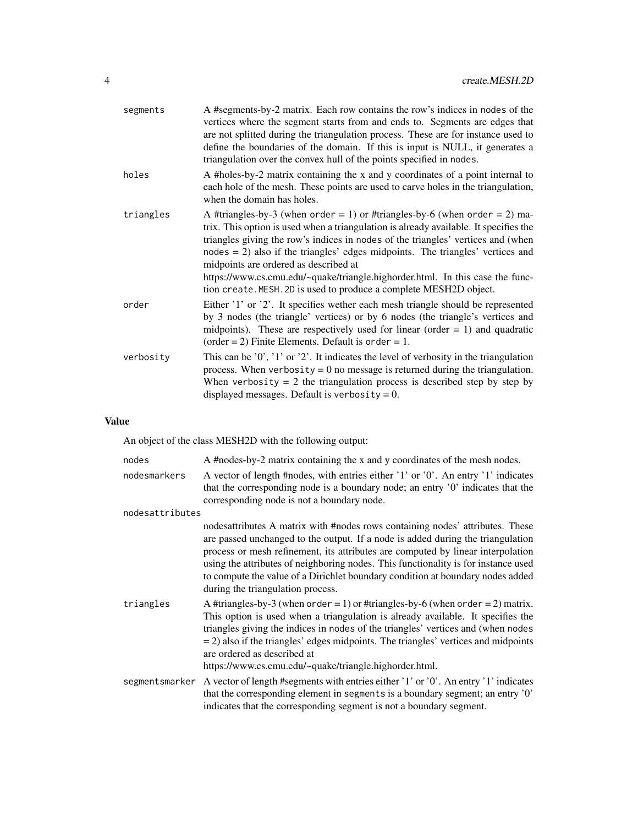| segments  | A #segments-by-2 matrix. Each row contains the row's indices in nodes of the<br>vertices where the segment starts from and ends to. Segments are edges that<br>are not splitted during the triangulation process. These are for instance used to<br>define the boundaries of the domain. If this is input is NULL, it generates a<br>triangulation over the convex hull of the points specified in nodes.                                                                                                                                    |
|-----------|----------------------------------------------------------------------------------------------------------------------------------------------------------------------------------------------------------------------------------------------------------------------------------------------------------------------------------------------------------------------------------------------------------------------------------------------------------------------------------------------------------------------------------------------|
| holes     | A #holes-by-2 matrix containing the x and y coordinates of a point internal to<br>each hole of the mesh. These points are used to carve holes in the triangulation,<br>when the domain has holes.                                                                                                                                                                                                                                                                                                                                            |
| triangles | A #triangles-by-3 (when order = 1) or #triangles-by-6 (when order = 2) ma-<br>trix. This option is used when a triangulation is already available. It specifies the<br>triangles giving the row's indices in nodes of the triangles' vertices and (when<br>$nodes = 2$ ) also if the triangles' edges midpoints. The triangles' vertices and<br>midpoints are ordered as described at<br>https://www.cs.cmu.edu/~quake/triangle.highorder.html. In this case the func-<br>tion create. MESH. 2D is used to produce a complete MESH2D object. |
| order     | Either '1' or '2'. It specifies wether each mesh triangle should be represented<br>by 3 nodes (the triangle' vertices) or by 6 nodes (the triangle's vertices and<br>midpoints). These are respectively used for linear (order $= 1$ ) and quadratic<br>(order = 2) Finite Elements. Default is order = 1.                                                                                                                                                                                                                                   |
| verbosity | This can be $'0'$ , $'1'$ or $'2'$ . It indicates the level of verbosity in the triangulation<br>process. When verbosity = $0$ no message is returned during the triangulation.<br>When verbosity $= 2$ the triangulation process is described step by step by<br>displayed messages. Default is verbosity = $0$ .                                                                                                                                                                                                                           |

## Value

An object of the class MESH2D with the following output:

| nodes           | A #nodes-by-2 matrix containing the x and y coordinates of the mesh nodes.                                                                                                                                                                                                                                                                                                                                                                                       |
|-----------------|------------------------------------------------------------------------------------------------------------------------------------------------------------------------------------------------------------------------------------------------------------------------------------------------------------------------------------------------------------------------------------------------------------------------------------------------------------------|
| nodesmarkers    | A vector of length #nodes, with entries either '1' or '0'. An entry '1' indicates<br>that the corresponding node is a boundary node; an entry '0' indicates that the<br>corresponding node is not a boundary node.                                                                                                                                                                                                                                               |
| nodesattributes |                                                                                                                                                                                                                                                                                                                                                                                                                                                                  |
|                 | nodesattributes A matrix with #nodes rows containing nodes' attributes. These<br>are passed unchanged to the output. If a node is added during the triangulation<br>process or mesh refinement, its attributes are computed by linear interpolation<br>using the attributes of neighboring nodes. This functionality is for instance used<br>to compute the value of a Dirichlet boundary condition at boundary nodes added<br>during the triangulation process. |
| triangles       | A #triangles-by-3 (when order = 1) or #triangles-by-6 (when order = 2) matrix.<br>This option is used when a triangulation is already available. It specifies the<br>triangles giving the indices in nodes of the triangles' vertices and (when nodes<br>$=$ 2) also if the triangles' edges midpoints. The triangles' vertices and midpoints<br>are ordered as described at<br>https://www.cs.cmu.edu/~quake/triangle.highorder.html.                           |
| segmentsmarker  | A vector of length #segments with entries either '1' or '0'. An entry '1' indicates<br>that the corresponding element in segments is a boundary segment; an entry '0'<br>indicates that the corresponding segment is not a boundary segment.                                                                                                                                                                                                                     |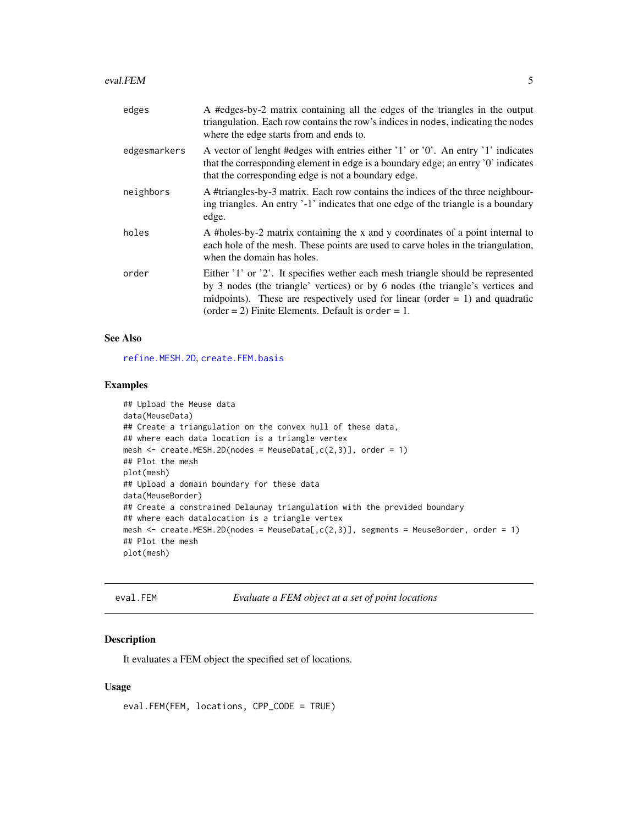<span id="page-4-0"></span>

| edges        | A #edges-by-2 matrix containing all the edges of the triangles in the output<br>triangulation. Each row contains the row's indices in nodes, indicating the nodes<br>where the edge starts from and ends to.                                                                                               |
|--------------|------------------------------------------------------------------------------------------------------------------------------------------------------------------------------------------------------------------------------------------------------------------------------------------------------------|
| edgesmarkers | A vector of lenght #edges with entries either '1' or '0'. An entry '1' indicates<br>that the corresponding element in edge is a boundary edge; an entry '0' indicates<br>that the corresponding edge is not a boundary edge.                                                                               |
| neighbors    | A #triangles-by-3 matrix. Each row contains the indices of the three neighbour-<br>ing triangles. An entry '-1' indicates that one edge of the triangle is a boundary<br>edge.                                                                                                                             |
| holes        | A #holes-by-2 matrix containing the x and y coordinates of a point internal to<br>each hole of the mesh. These points are used to carve holes in the triangulation,<br>when the domain has holes.                                                                                                          |
| order        | Either '1' or '2'. It specifies wether each mesh triangle should be represented<br>by 3 nodes (the triangle' vertices) or by 6 nodes (the triangle's vertices and<br>midpoints). These are respectively used for linear (order $= 1$ ) and quadratic<br>(order = 2) Finite Elements. Default is order = 1. |

## See Also

[refine.MESH.2D](#page-10-1), [create.FEM.basis](#page-1-1)

## Examples

```
## Upload the Meuse data
data(MeuseData)
## Create a triangulation on the convex hull of these data,
## where each data location is a triangle vertex
mesh \leq create. MESH. 2D(nodes = MeuseData[, c(2,3)], order = 1)
## Plot the mesh
plot(mesh)
## Upload a domain boundary for these data
data(MeuseBorder)
## Create a constrained Delaunay triangulation with the provided boundary
## where each datalocation is a triangle vertex
mesh <- create.MESH.2D(nodes = MeuseData[,c(2,3)], segments = MeuseBorder, order = 1)
## Plot the mesh
plot(mesh)
```

```
eval.FEM Evaluate a FEM object at a set of point locations
```
## Description

It evaluates a FEM object the specified set of locations.

#### Usage

```
eval.FEM(FEM, locations, CPP_CODE = TRUE)
```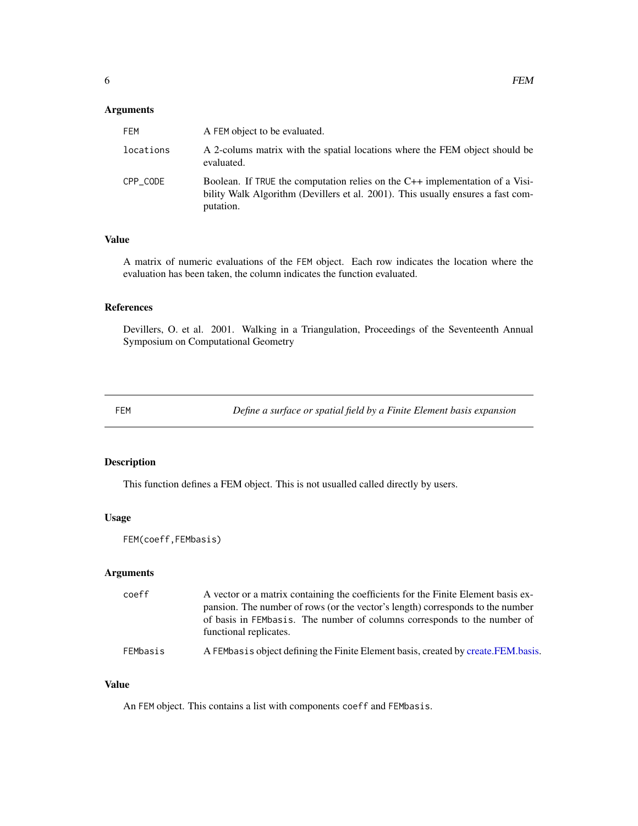## <span id="page-5-0"></span>Arguments

| FFM       | A FEM object to be evaluated.                                                                                                                                                |
|-----------|------------------------------------------------------------------------------------------------------------------------------------------------------------------------------|
| locations | A 2-colums matrix with the spatial locations where the FEM object should be<br>evaluated.                                                                                    |
| CPP CODE  | Boolean. If TRUE the computation relies on the C++ implementation of a Visi-<br>bility Walk Algorithm (Devillers et al. 2001). This usually ensures a fast com-<br>putation. |

#### Value

A matrix of numeric evaluations of the FEM object. Each row indicates the location where the evaluation has been taken, the column indicates the function evaluated.

#### References

Devillers, O. et al. 2001. Walking in a Triangulation, Proceedings of the Seventeenth Annual Symposium on Computational Geometry

FEM *Define a surface or spatial field by a Finite Element basis expansion*

## Description

This function defines a FEM object. This is not usualled called directly by users.

#### Usage

FEM(coeff,FEMbasis)

## Arguments

| coeff    | A vector or a matrix containing the coefficients for the Finite Element basis ex-                  |
|----------|----------------------------------------------------------------------------------------------------|
|          | pansion. The number of rows (or the vector's length) corresponds to the number                     |
|          | of basis in FEMbasis. The number of columns corresponds to the number of<br>functional replicates. |
| FEMbasis | A FEMbasis object defining the Finite Element basis, created by create. FEM. basis.                |

## Value

An FEM object. This contains a list with components coeff and FEMbasis.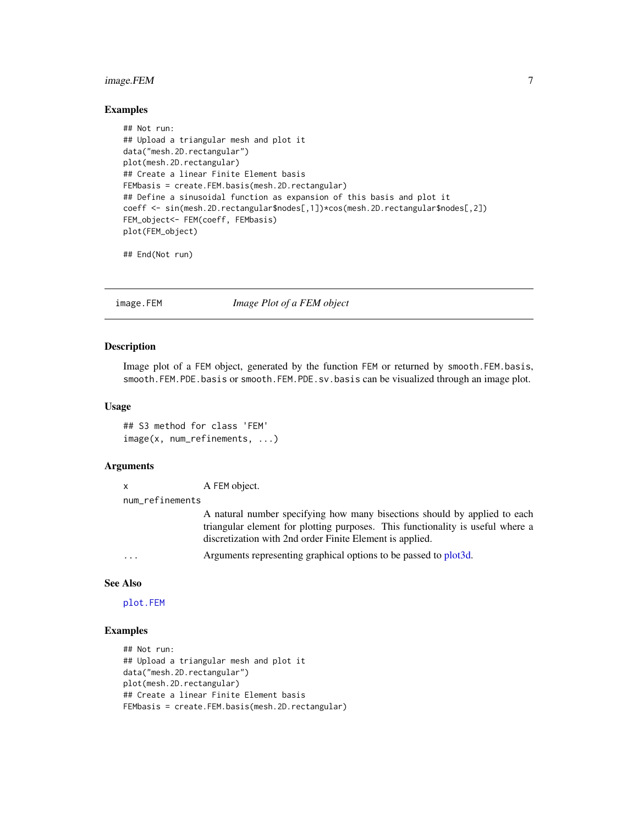## <span id="page-6-0"></span>image.FEM 7

#### Examples

```
## Not run:
## Upload a triangular mesh and plot it
data("mesh.2D.rectangular")
plot(mesh.2D.rectangular)
## Create a linear Finite Element basis
FEMbasis = create.FEM.basis(mesh.2D.rectangular)
## Define a sinusoidal function as expansion of this basis and plot it
coeff <- sin(mesh.2D.rectangular$nodes[,1])*cos(mesh.2D.rectangular$nodes[,2])
FEM_object<- FEM(coeff, FEMbasis)
plot(FEM_object)
```
## End(Not run)

<span id="page-6-1"></span>image.FEM *Image Plot of a FEM object*

#### Description

Image plot of a FEM object, generated by the function FEM or returned by smooth.FEM.basis, smooth.FEM.PDE.basis or smooth.FEM.PDE.sv.basis can be visualized through an image plot.

#### Usage

## S3 method for class 'FEM' image(x, num\_refinements, ...)

## **Arguments**

| і guinchts      |                                                                                                                                                                                                                         |
|-----------------|-------------------------------------------------------------------------------------------------------------------------------------------------------------------------------------------------------------------------|
| x               | A FEM object.                                                                                                                                                                                                           |
| num refinements |                                                                                                                                                                                                                         |
|                 | A natural number specifying how many bisections should by applied to each<br>triangular element for plotting purposes. This functionality is useful where a<br>discretization with 2nd order Finite Element is applied. |
| $\cdots$        | Arguments representing graphical options to be passed to plot3d.                                                                                                                                                        |

#### See Also

[plot.FEM](#page-9-1)

## Examples

```
## Not run:
## Upload a triangular mesh and plot it
data("mesh.2D.rectangular")
plot(mesh.2D.rectangular)
## Create a linear Finite Element basis
FEMbasis = create.FEM.basis(mesh.2D.rectangular)
```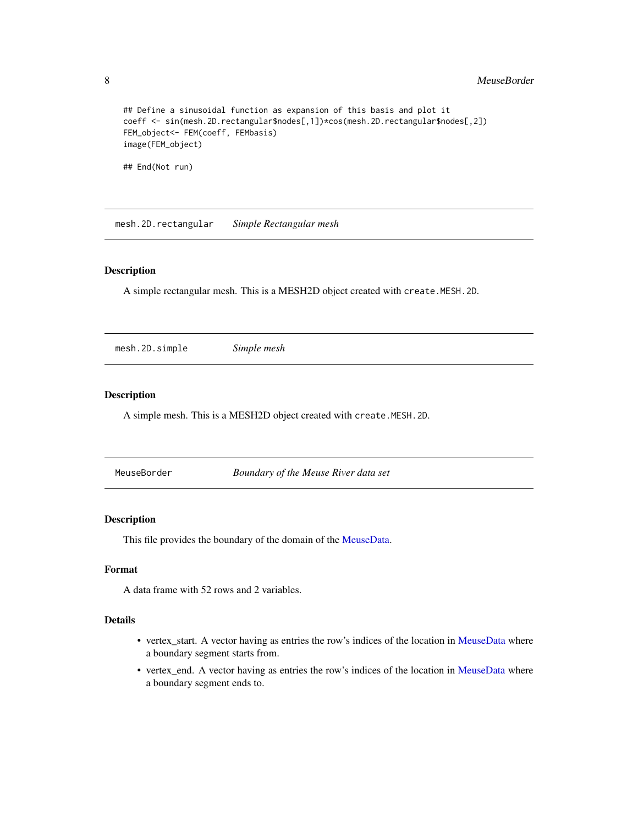#### <span id="page-7-0"></span>8 MeuseBorder News 2016

```
## Define a sinusoidal function as expansion of this basis and plot it
coeff <- sin(mesh.2D.rectangular$nodes[,1])*cos(mesh.2D.rectangular$nodes[,2])
FEM_object<- FEM(coeff, FEMbasis)
image(FEM_object)
```
## End(Not run)

mesh.2D.rectangular *Simple Rectangular mesh*

## Description

A simple rectangular mesh. This is a MESH2D object created with create.MESH.2D.

mesh.2D.simple *Simple mesh*

## Description

A simple mesh. This is a MESH2D object created with create.MESH.2D.

<span id="page-7-1"></span>

| MeuseBorder | Boundary of the Meuse River data set |
|-------------|--------------------------------------|
|-------------|--------------------------------------|

## Description

This file provides the boundary of the domain of the [MeuseData.](#page-8-1)

#### Format

A data frame with 52 rows and 2 variables.

## Details

- vertex\_start. A vector having as entries the row's indices of the location in [MeuseData](#page-8-1) where a boundary segment starts from.
- vertex\_end. A vector having as entries the row's indices of the location in [MeuseData](#page-8-1) where a boundary segment ends to.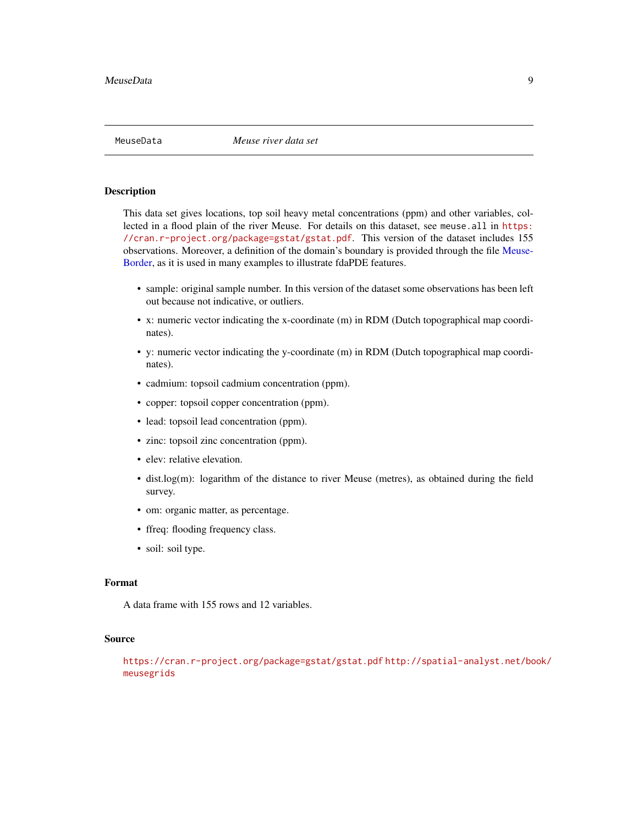<span id="page-8-1"></span><span id="page-8-0"></span>

This data set gives locations, top soil heavy metal concentrations (ppm) and other variables, collected in a flood plain of the river Meuse. For details on this dataset, see meuse.all in [https:](https://cran.r-project.org/package=gstat/gstat.pdf) [//cran.r-project.org/package=gstat/gstat.pdf](https://cran.r-project.org/package=gstat/gstat.pdf). This version of the dataset includes 155 observations. Moreover, a definition of the domain's boundary is provided through the file [Meuse-](#page-7-1)[Border,](#page-7-1) as it is used in many examples to illustrate fdaPDE features.

- sample: original sample number. In this version of the dataset some observations has been left out because not indicative, or outliers.
- x: numeric vector indicating the x-coordinate (m) in RDM (Dutch topographical map coordinates).
- y: numeric vector indicating the y-coordinate (m) in RDM (Dutch topographical map coordinates).
- cadmium: topsoil cadmium concentration (ppm).
- copper: topsoil copper concentration (ppm).
- lead: topsoil lead concentration (ppm).
- zinc: topsoil zinc concentration (ppm).
- elev: relative elevation.
- dist.log(m): logarithm of the distance to river Meuse (metres), as obtained during the field survey.
- om: organic matter, as percentage.
- ffreq: flooding frequency class.
- soil: soil type.

#### Format

A data frame with 155 rows and 12 variables.

#### Source

<https://cran.r-project.org/package=gstat/gstat.pdf> [http://spatial-analyst.net/bo](http://spatial-analyst.net/book/meusegrids)ok/ [meusegrids](http://spatial-analyst.net/book/meusegrids)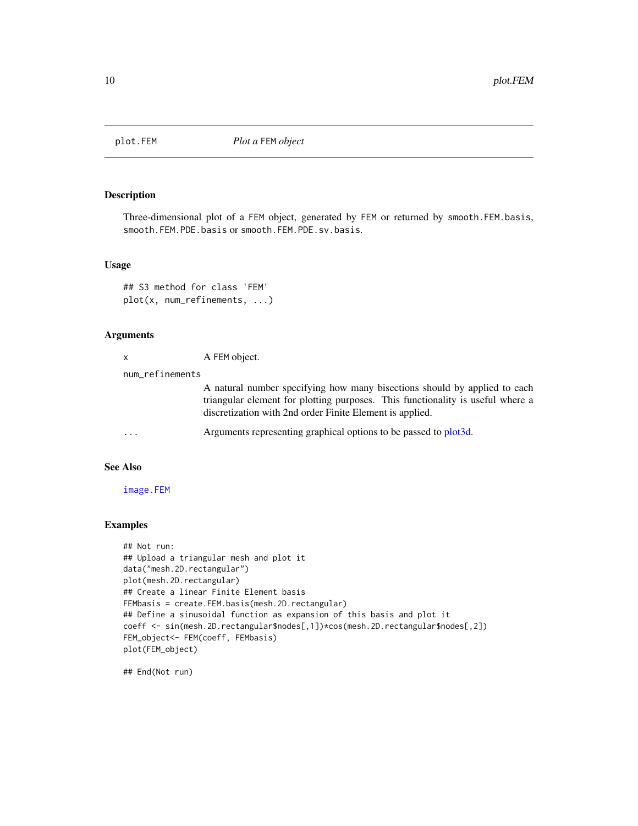<span id="page-9-1"></span><span id="page-9-0"></span>

Three-dimensional plot of a FEM object, generated by FEM or returned by smooth.FEM.basis, smooth.FEM.PDE.basis or smooth.FEM.PDE.sv.basis.

#### Usage

```
## S3 method for class 'FEM'
plot(x, num_refinements, ...)
```
## Arguments

|                         | A FEM object.                                                                                                                                                                                                           |
|-------------------------|-------------------------------------------------------------------------------------------------------------------------------------------------------------------------------------------------------------------------|
| num_refinements         |                                                                                                                                                                                                                         |
|                         | A natural number specifying how many bisections should by applied to each<br>triangular element for plotting purposes. This functionality is useful where a<br>discretization with 2nd order Finite Element is applied. |
| $\cdot$ $\cdot$ $\cdot$ | Arguments representing graphical options to be passed to plot3d.                                                                                                                                                        |

## See Also

[image.FEM](#page-6-1)

## Examples

```
## Not run:
## Upload a triangular mesh and plot it
data("mesh.2D.rectangular")
plot(mesh.2D.rectangular)
## Create a linear Finite Element basis
FEMbasis = create.FEM.basis(mesh.2D.rectangular)
## Define a sinusoidal function as expansion of this basis and plot it
coeff <- sin(mesh.2D.rectangular$nodes[,1])*cos(mesh.2D.rectangular$nodes[,2])
FEM_object<- FEM(coeff, FEMbasis)
plot(FEM_object)
```
## End(Not run)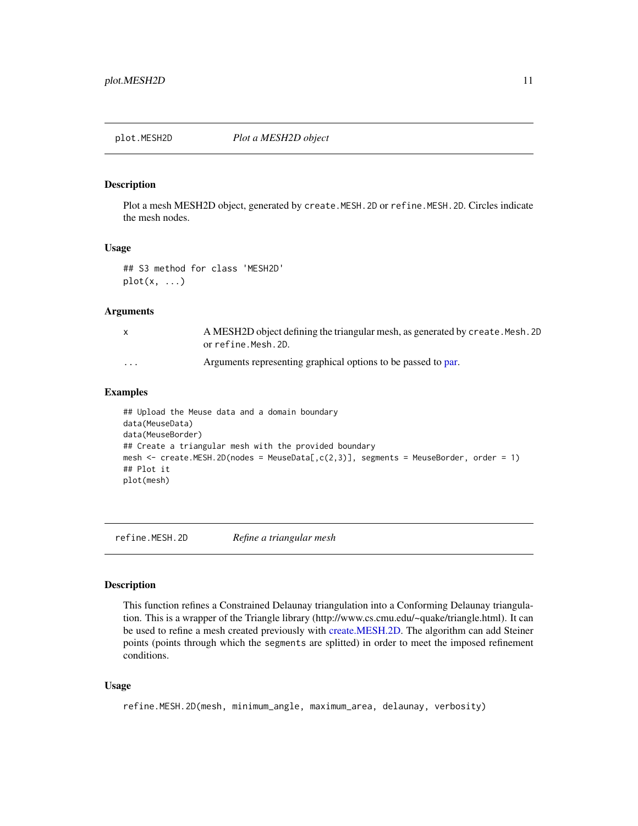<span id="page-10-0"></span>

Plot a mesh MESH2D object, generated by create.MESH.2D or refine.MESH.2D. Circles indicate the mesh nodes.

#### Usage

## S3 method for class 'MESH2D'  $plot(x, \ldots)$ 

#### Arguments

| X        | A MESH2D object defining the triangular mesh, as generated by create. Mesh. 2D<br>or refine.Mesh.2D. |
|----------|------------------------------------------------------------------------------------------------------|
| $\cdots$ | Arguments representing graphical options to be passed to par.                                        |

#### Examples

## Upload the Meuse data and a domain boundary data(MeuseData) data(MeuseBorder) ## Create a triangular mesh with the provided boundary mesh <- create.MESH.2D(nodes = MeuseData[,c(2,3)], segments = MeuseBorder, order = 1) ## Plot it plot(mesh)

<span id="page-10-1"></span>refine.MESH.2D *Refine a triangular mesh*

## Description

This function refines a Constrained Delaunay triangulation into a Conforming Delaunay triangulation. This is a wrapper of the Triangle library (http://www.cs.cmu.edu/~quake/triangle.html). It can be used to refine a mesh created previously with [create.MESH.2D.](#page-2-1) The algorithm can add Steiner points (points through which the segments are splitted) in order to meet the imposed refinement conditions.

#### Usage

```
refine.MESH.2D(mesh, minimum_angle, maximum_area, delaunay, verbosity)
```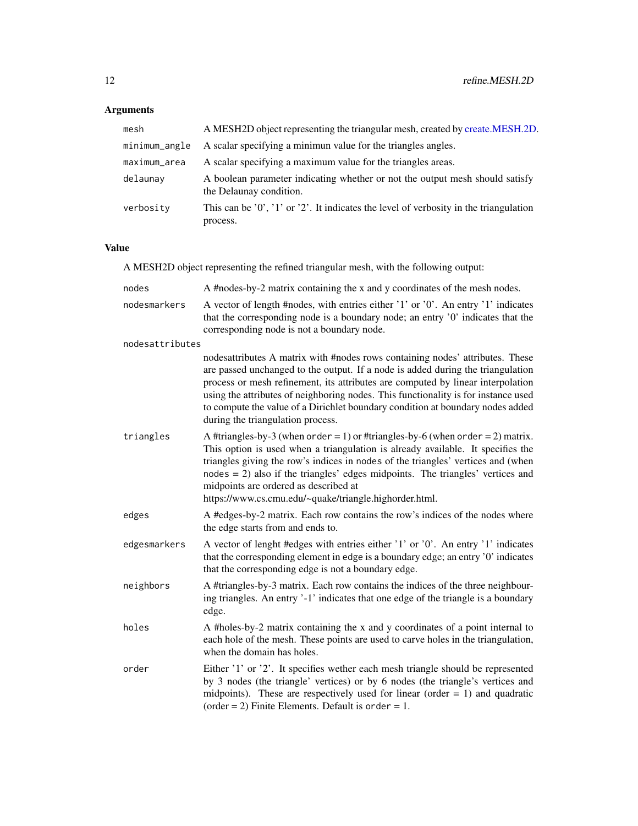## Arguments

| mesh          | A MESH2D object representing the triangular mesh, created by create.MESH.2D.                            |
|---------------|---------------------------------------------------------------------------------------------------------|
| minimum_angle | A scalar specifying a minimun value for the triangles angles.                                           |
| maximum_area  | A scalar specifying a maximum value for the triangles areas.                                            |
| delaunay      | A boolean parameter indicating whether or not the output mesh should satisfy<br>the Delaunay condition. |
| verbosity     | This can be $'0', '1'$ or $'2'$ . It indicates the level of verbosity in the triangulation<br>process.  |

## Value

A MESH2D object representing the refined triangular mesh, with the following output:

| nodes           | A #nodes-by-2 matrix containing the x and y coordinates of the mesh nodes.                                                                                                                                                                                                                                                                                                                                                                                       |
|-----------------|------------------------------------------------------------------------------------------------------------------------------------------------------------------------------------------------------------------------------------------------------------------------------------------------------------------------------------------------------------------------------------------------------------------------------------------------------------------|
| nodesmarkers    | A vector of length #nodes, with entries either '1' or '0'. An entry '1' indicates<br>that the corresponding node is a boundary node; an entry '0' indicates that the<br>corresponding node is not a boundary node.                                                                                                                                                                                                                                               |
| nodesattributes |                                                                                                                                                                                                                                                                                                                                                                                                                                                                  |
|                 | nodesattributes A matrix with #nodes rows containing nodes' attributes. These<br>are passed unchanged to the output. If a node is added during the triangulation<br>process or mesh refinement, its attributes are computed by linear interpolation<br>using the attributes of neighboring nodes. This functionality is for instance used<br>to compute the value of a Dirichlet boundary condition at boundary nodes added<br>during the triangulation process. |
| triangles       | A #triangles-by-3 (when order = 1) or #triangles-by-6 (when order = 2) matrix.<br>This option is used when a triangulation is already available. It specifies the<br>triangles giving the row's indices in nodes of the triangles' vertices and (when<br>$nodes = 2$ ) also if the triangles' edges midpoints. The triangles' vertices and<br>midpoints are ordered as described at<br>https://www.cs.cmu.edu/~quake/triangle.highorder.html.                    |
| edges           | A #edges-by-2 matrix. Each row contains the row's indices of the nodes where<br>the edge starts from and ends to.                                                                                                                                                                                                                                                                                                                                                |
| edgesmarkers    | A vector of lenght #edges with entries either '1' or '0'. An entry '1' indicates<br>that the corresponding element in edge is a boundary edge; an entry '0' indicates<br>that the corresponding edge is not a boundary edge.                                                                                                                                                                                                                                     |
| neighbors       | A #triangles-by-3 matrix. Each row contains the indices of the three neighbour-<br>ing triangles. An entry '-1' indicates that one edge of the triangle is a boundary<br>edge.                                                                                                                                                                                                                                                                                   |
| holes           | A #holes-by-2 matrix containing the x and y coordinates of a point internal to<br>each hole of the mesh. These points are used to carve holes in the triangulation,<br>when the domain has holes.                                                                                                                                                                                                                                                                |
| order           | Either '1' or '2'. It specifies wether each mesh triangle should be represented<br>by 3 nodes (the triangle' vertices) or by 6 nodes (the triangle's vertices and<br>midpoints). These are respectively used for linear (order $= 1$ ) and quadratic<br>(order = 2) Finite Elements. Default is order = 1.                                                                                                                                                       |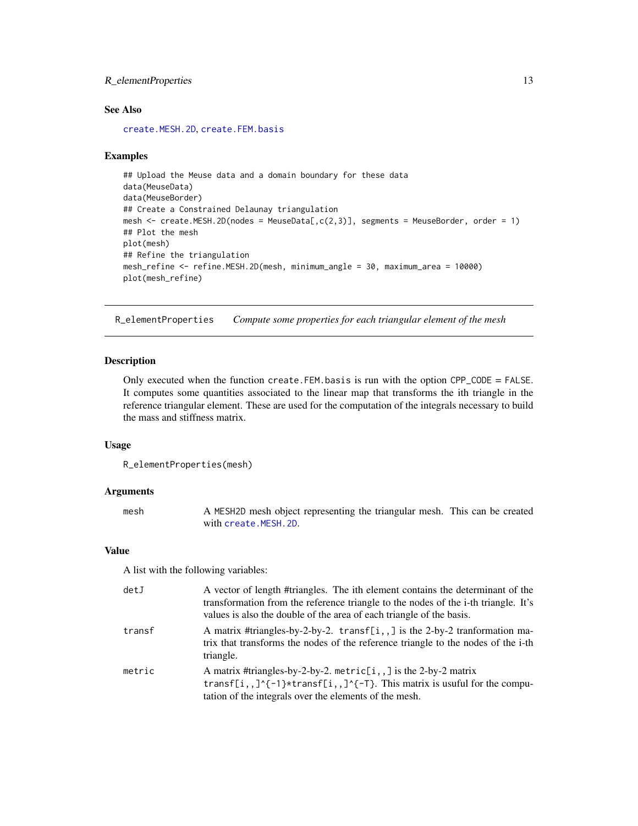## <span id="page-12-0"></span>R\_elementProperties 13

## See Also

[create.MESH.2D](#page-2-1), [create.FEM.basis](#page-1-1)

#### Examples

```
## Upload the Meuse data and a domain boundary for these data
data(MeuseData)
data(MeuseBorder)
## Create a Constrained Delaunay triangulation
mesh \le - create.MESH.2D(nodes = MeuseData[,c(2,3)], segments = MeuseBorder, order = 1)
## Plot the mesh
plot(mesh)
## Refine the triangulation
mesh_refine <- refine.MESH.2D(mesh, minimum_angle = 30, maximum_area = 10000)
plot(mesh_refine)
```
R\_elementProperties *Compute some properties for each triangular element of the mesh*

## Description

Only executed when the function create.FEM.basis is run with the option CPP\_CODE = FALSE. It computes some quantities associated to the linear map that transforms the ith triangle in the reference triangular element. These are used for the computation of the integrals necessary to build the mass and stiffness matrix.

#### Usage

```
R_elementProperties(mesh)
```
#### Arguments

| mesh | A MESH2D mesh object representing the triangular mesh. This can be created |  |
|------|----------------------------------------------------------------------------|--|
|      | with create.MESH.2D.                                                       |  |

#### Value

A list with the following variables:

| detJ   | A vector of length #triangles. The ith element contains the determinant of the<br>transformation from the reference triangle to the nodes of the i-th triangle. It's<br>values is also the double of the area of each triangle of the basis. |
|--------|----------------------------------------------------------------------------------------------------------------------------------------------------------------------------------------------------------------------------------------------|
| transf | A matrix #triangles-by-2-by-2. transf[i,,] is the 2-by-2 tranformation ma-<br>trix that transforms the nodes of the reference triangle to the nodes of the i-th<br>triangle.                                                                 |
| metric | A matrix #triangles-by-2-by-2. metric[i,,] is the 2-by-2 matrix<br>transf[i,,]^{-1}*transf[i,,]^{-T}. This matrix is usuful for the compu-<br>tation of the integrals over the elements of the mesh.                                         |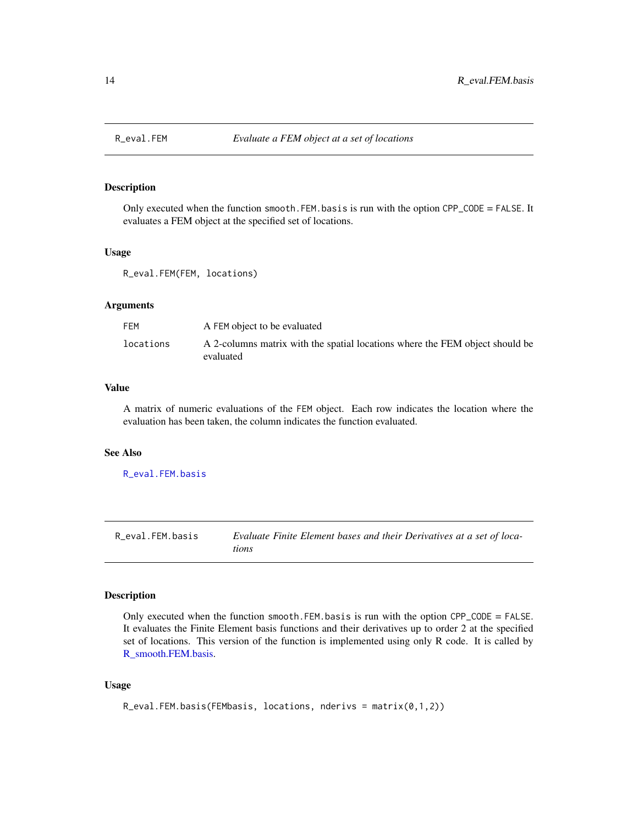<span id="page-13-2"></span><span id="page-13-0"></span>

Only executed when the function smooth.FEM.basis is run with the option CPP\_CODE = FALSE. It evaluates a FEM object at the specified set of locations.

#### Usage

R\_eval.FEM(FEM, locations)

#### **Arguments**

| FEM       | A FEM object to be evaluated                                                              |
|-----------|-------------------------------------------------------------------------------------------|
| locations | A 2-columns matrix with the spatial locations where the FEM object should be<br>evaluated |

#### Value

A matrix of numeric evaluations of the FEM object. Each row indicates the location where the evaluation has been taken, the column indicates the function evaluated.

#### See Also

[R\\_eval.FEM.basis](#page-13-1)

<span id="page-13-1"></span>R\_eval.FEM.basis *Evaluate Finite Element bases and their Derivatives at a set of locations*

## Description

Only executed when the function smooth.FEM.basis is run with the option CPP\_CODE = FALSE. It evaluates the Finite Element basis functions and their derivatives up to order 2 at the specified set of locations. This version of the function is implemented using only R code. It is called by [R\\_smooth.FEM.basis.](#page-15-1)

#### Usage

```
R_eval.FEM.basis(FEMbasis, locations, nderivs = matrix(0,1,2))
```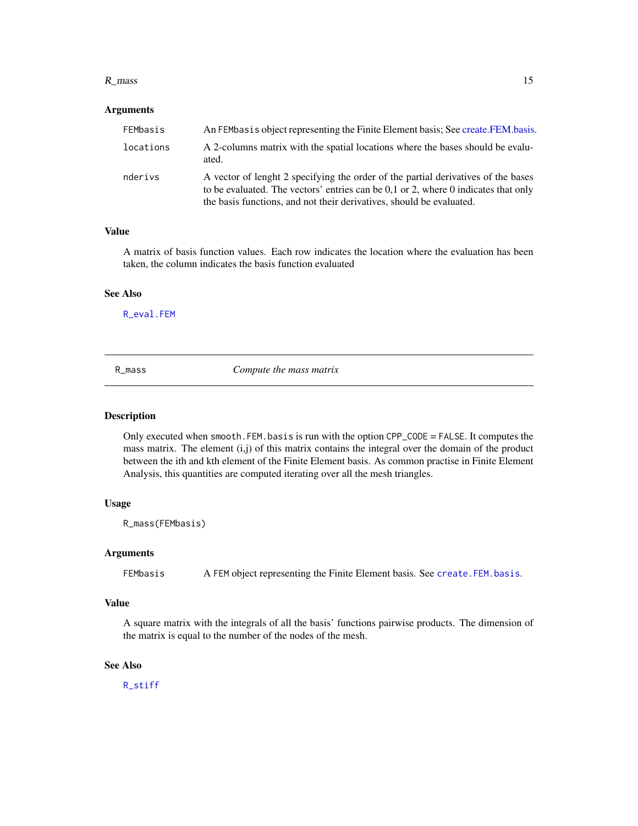#### <span id="page-14-0"></span> $R_{\perp}$  mass 15

#### Arguments

| FEMbasis  | An FEMbasis object representing the Finite Element basis; See create. FEM. basis.                                                                                                                                                               |
|-----------|-------------------------------------------------------------------------------------------------------------------------------------------------------------------------------------------------------------------------------------------------|
| locations | A 2-columns matrix with the spatial locations where the bases should be evalu-<br>ated.                                                                                                                                                         |
| nderivs   | A vector of lenght 2 specifying the order of the partial derivatives of the bases<br>to be evaluated. The vectors' entries can be 0,1 or 2, where 0 indicates that only<br>the basis functions, and not their derivatives, should be evaluated. |

## Value

A matrix of basis function values. Each row indicates the location where the evaluation has been taken, the column indicates the basis function evaluated

#### See Also

[R\\_eval.FEM](#page-13-2)

<span id="page-14-1"></span>R\_mass *Compute the mass matrix*

#### Description

Only executed when smooth.FEM.basis is run with the option CPP\_CODE = FALSE. It computes the mass matrix. The element  $(i, j)$  of this matrix contains the integral over the domain of the product between the ith and kth element of the Finite Element basis. As common practise in Finite Element Analysis, this quantities are computed iterating over all the mesh triangles.

#### Usage

R\_mass(FEMbasis)

#### Arguments

FEMbasis A FEM object representing the Finite Element basis. See [create.FEM.basis](#page-1-1).

#### Value

A square matrix with the integrals of all the basis' functions pairwise products. The dimension of the matrix is equal to the number of the nodes of the mesh.

## See Also

[R\\_stiff](#page-16-1)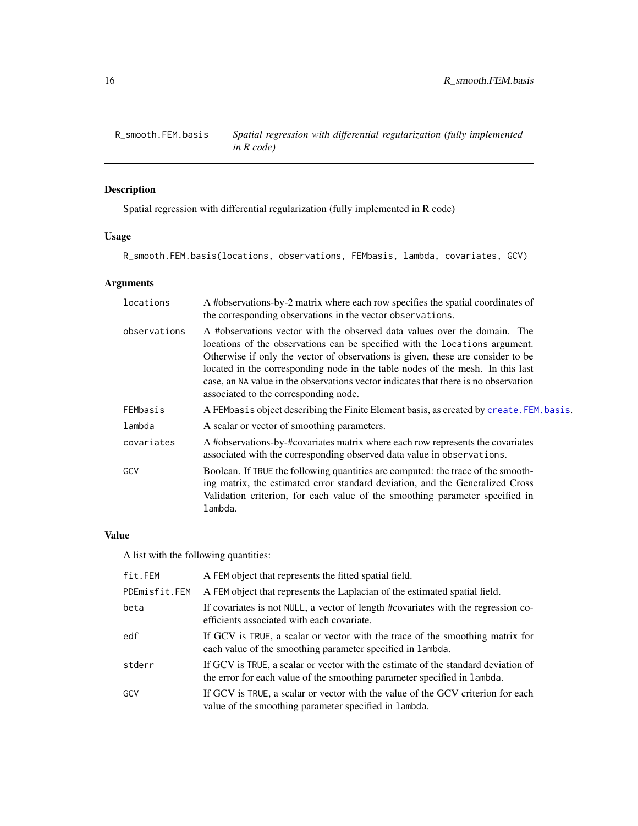<span id="page-15-1"></span><span id="page-15-0"></span>

Spatial regression with differential regularization (fully implemented in R code)

## Usage

R\_smooth.FEM.basis(locations, observations, FEMbasis, lambda, covariates, GCV)

## Arguments

| locations    | A #observations-by-2 matrix where each row specifies the spatial coordinates of<br>the corresponding observations in the vector observations.                                                                                                                                                                                                                                                                                                                 |
|--------------|---------------------------------------------------------------------------------------------------------------------------------------------------------------------------------------------------------------------------------------------------------------------------------------------------------------------------------------------------------------------------------------------------------------------------------------------------------------|
| observations | A #observations vector with the observed data values over the domain. The<br>locations of the observations can be specified with the locations argument.<br>Otherwise if only the vector of observations is given, these are consider to be<br>located in the corresponding node in the table nodes of the mesh. In this last<br>case, an NA value in the observations vector indicates that there is no observation<br>associated to the corresponding node. |
| FEMbasis     | A FEMbasis object describing the Finite Element basis, as created by create. FEM. basis.                                                                                                                                                                                                                                                                                                                                                                      |
| lambda       | A scalar or vector of smoothing parameters.                                                                                                                                                                                                                                                                                                                                                                                                                   |
| covariates   | A #observations-by-#covariates matrix where each row represents the covariates<br>associated with the corresponding observed data value in observations.                                                                                                                                                                                                                                                                                                      |
| GCV          | Boolean. If TRUE the following quantities are computed: the trace of the smooth-<br>ing matrix, the estimated error standard deviation, and the Generalized Cross<br>Validation criterion, for each value of the smoothing parameter specified in<br>lambda.                                                                                                                                                                                                  |

## Value

A list with the following quantities:

| fit.FEM       | A FEM object that represents the fitted spatial field.                                                                                                        |
|---------------|---------------------------------------------------------------------------------------------------------------------------------------------------------------|
| PDEmisfit.FEM | A FEM object that represents the Laplacian of the estimated spatial field.                                                                                    |
| beta          | If covariates is not NULL, a vector of length #covariates with the regression co-<br>efficients associated with each covariate.                               |
| edf           | If GCV is TRUE, a scalar or vector with the trace of the smoothing matrix for<br>each value of the smoothing parameter specified in lambda.                   |
| stderr        | If GCV is TRUE, a scalar or vector with the estimate of the standard deviation of<br>the error for each value of the smoothing parameter specified in lambda. |
| GCV           | If GCV is TRUE, a scalar or vector with the value of the GCV criterion for each<br>value of the smoothing parameter specified in lambda.                      |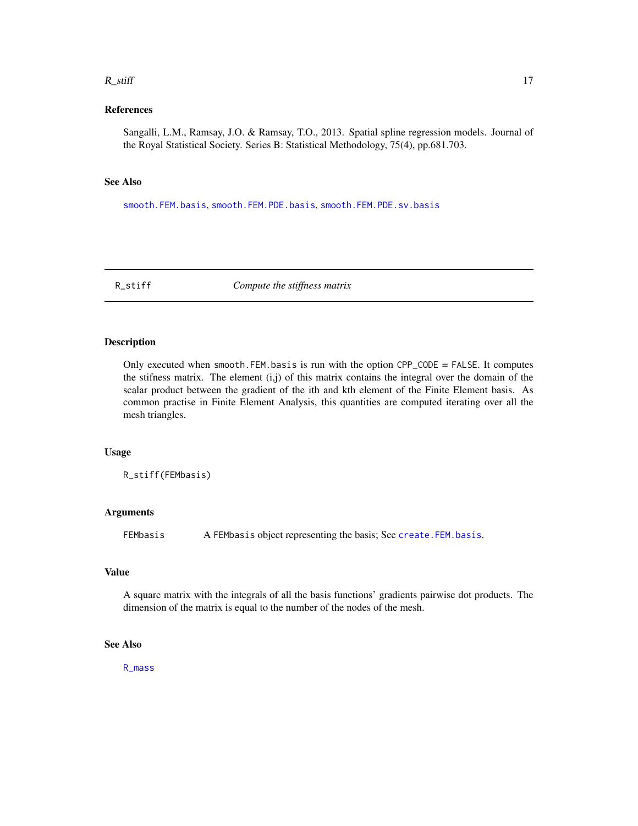#### <span id="page-16-0"></span> $R_{\perp}$ stiff  $\qquad \qquad$  17

## References

Sangalli, L.M., Ramsay, J.O. & Ramsay, T.O., 2013. Spatial spline regression models. Journal of the Royal Statistical Society. Series B: Statistical Methodology, 75(4), pp.681.703.

#### See Also

[smooth.FEM.basis](#page-17-1), [smooth.FEM.PDE.basis](#page-19-1), [smooth.FEM.PDE.sv.basis](#page-21-1)

<span id="page-16-1"></span>R\_stiff *Compute the stiffness matrix*

#### Description

Only executed when smooth. FEM. basis is run with the option  $CPP\_CODE = FALSE$ . It computes the stifness matrix. The element (i,j) of this matrix contains the integral over the domain of the scalar product between the gradient of the ith and kth element of the Finite Element basis. As common practise in Finite Element Analysis, this quantities are computed iterating over all the mesh triangles.

#### Usage

R\_stiff(FEMbasis)

#### Arguments

FEMbasis A FEMbasis object representing the basis; See [create.FEM.basis](#page-1-1).

#### Value

A square matrix with the integrals of all the basis functions' gradients pairwise dot products. The dimension of the matrix is equal to the number of the nodes of the mesh.

## See Also

[R\\_mass](#page-14-1)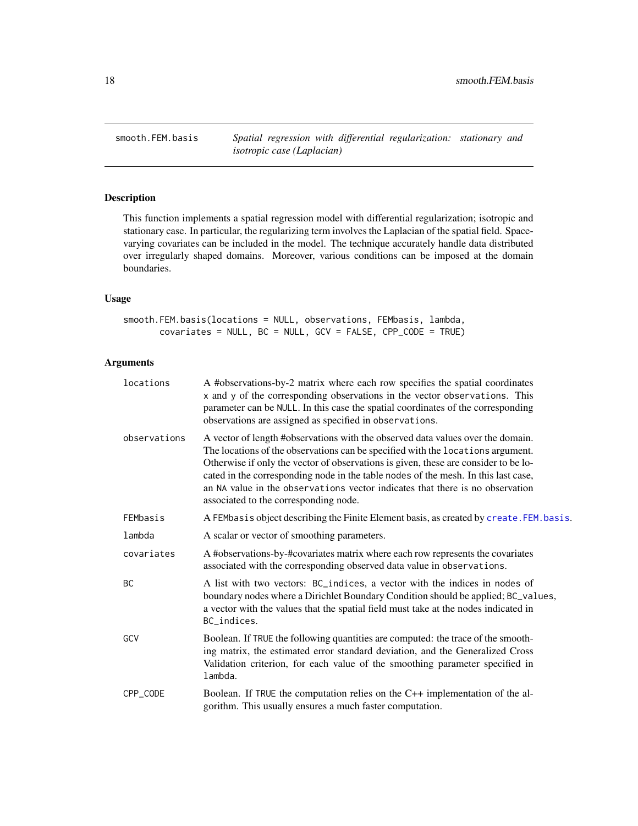<span id="page-17-1"></span><span id="page-17-0"></span>smooth.FEM.basis *Spatial regression with differential regularization: stationary and isotropic case (Laplacian)*

## Description

This function implements a spatial regression model with differential regularization; isotropic and stationary case. In particular, the regularizing term involves the Laplacian of the spatial field. Spacevarying covariates can be included in the model. The technique accurately handle data distributed over irregularly shaped domains. Moreover, various conditions can be imposed at the domain boundaries.

## Usage

```
smooth.FEM.basis(locations = NULL, observations, FEMbasis, lambda,
      covariates = NULL, BC = NULL, GCV = FALSE, CPP_CODE = TRUE)
```
#### Arguments

| locations    | A #observations-by-2 matrix where each row specifies the spatial coordinates<br>x and y of the corresponding observations in the vector observations. This<br>parameter can be NULL. In this case the spatial coordinates of the corresponding<br>observations are assigned as specified in observations.                                                                                                                                                                 |
|--------------|---------------------------------------------------------------------------------------------------------------------------------------------------------------------------------------------------------------------------------------------------------------------------------------------------------------------------------------------------------------------------------------------------------------------------------------------------------------------------|
| observations | A vector of length #observations with the observed data values over the domain.<br>The locations of the observations can be specified with the locations argument.<br>Otherwise if only the vector of observations is given, these are consider to be lo-<br>cated in the corresponding node in the table nodes of the mesh. In this last case,<br>an NA value in the observations vector indicates that there is no observation<br>associated to the corresponding node. |
| FEMbasis     | A FEMbasis object describing the Finite Element basis, as created by create. FEM. basis.                                                                                                                                                                                                                                                                                                                                                                                  |
| lambda       | A scalar or vector of smoothing parameters.                                                                                                                                                                                                                                                                                                                                                                                                                               |
| covariates   | A #observations-by-#covariates matrix where each row represents the covariates<br>associated with the corresponding observed data value in observations.                                                                                                                                                                                                                                                                                                                  |
| <b>BC</b>    | A list with two vectors: BC_indices, a vector with the indices in nodes of<br>boundary nodes where a Dirichlet Boundary Condition should be applied; BC_values,<br>a vector with the values that the spatial field must take at the nodes indicated in<br>BC_indices.                                                                                                                                                                                                     |
| GCV          | Boolean. If TRUE the following quantities are computed: the trace of the smooth-<br>ing matrix, the estimated error standard deviation, and the Generalized Cross<br>Validation criterion, for each value of the smoothing parameter specified in<br>lambda.                                                                                                                                                                                                              |
| CPP_CODE     | Boolean. If TRUE the computation relies on the $C++$ implementation of the al-<br>gorithm. This usually ensures a much faster computation.                                                                                                                                                                                                                                                                                                                                |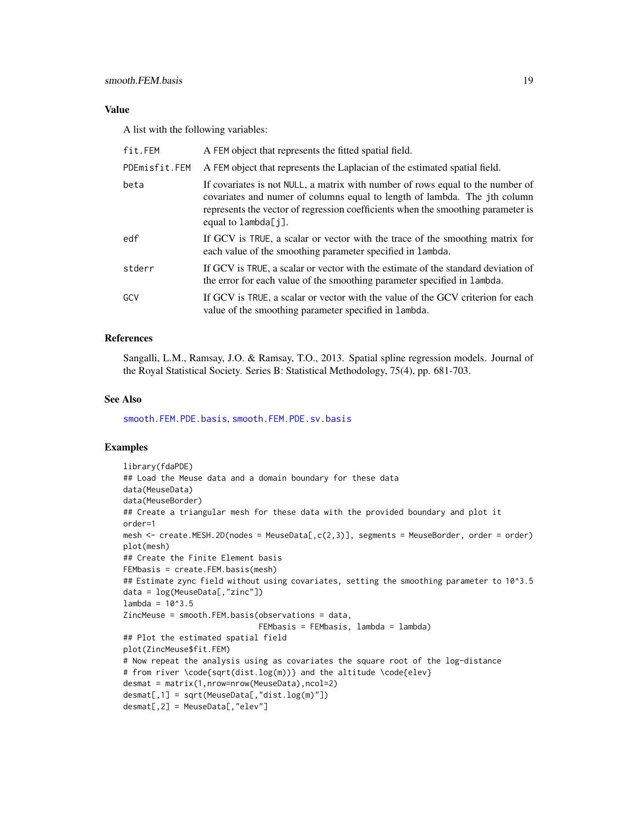## <span id="page-18-0"></span>Value

A list with the following variables:

| fit.FEM       | A FEM object that represents the fitted spatial field.                                                                                                                                                                                                                 |
|---------------|------------------------------------------------------------------------------------------------------------------------------------------------------------------------------------------------------------------------------------------------------------------------|
| PDEmisfit.FEM | A FEM object that represents the Laplacian of the estimated spatial field.                                                                                                                                                                                             |
| beta          | If covariates is not NULL, a matrix with number of rows equal to the number of<br>covariates and numer of columns equal to length of lambda. The jth column<br>represents the vector of regression coefficients when the smoothing parameter is<br>equal to lambda[j]. |
| edf           | If GCV is TRUE, a scalar or vector with the trace of the smoothing matrix for<br>each value of the smoothing parameter specified in lambda.                                                                                                                            |
| stderr        | If GCV is TRUE, a scalar or vector with the estimate of the standard deviation of<br>the error for each value of the smoothing parameter specified in lambda.                                                                                                          |
| GCV           | If GCV is TRUE, a scalar or vector with the value of the GCV criterion for each<br>value of the smoothing parameter specified in lambda.                                                                                                                               |

#### References

Sangalli, L.M., Ramsay, J.O. & Ramsay, T.O., 2013. Spatial spline regression models. Journal of the Royal Statistical Society. Series B: Statistical Methodology, 75(4), pp. 681-703.

#### See Also

[smooth.FEM.PDE.basis](#page-19-1), [smooth.FEM.PDE.sv.basis](#page-21-1)

## Examples

```
library(fdaPDE)
## Load the Meuse data and a domain boundary for these data
data(MeuseData)
data(MeuseBorder)
## Create a triangular mesh for these data with the provided boundary and plot it
order=1
mesh <- create.MESH.2D(nodes = MeuseData[,c(2,3)], segments = MeuseBorder, order = order)
plot(mesh)
## Create the Finite Element basis
FEMbasis = create.FEM.basis(mesh)
## Estimate zync field without using covariates, setting the smoothing parameter to 10^3.5
data = log(MeuseData[,"zinc"])
lambda = 10^3.5ZincMeuse = smooth.FEM.basis(observations = data,
                             FEMbasis = FEMbasis, lambda = lambda)
## Plot the estimated spatial field
plot(ZincMeuse$fit.FEM)
# Now repeat the analysis using as covariates the square root of the log-distance
# from river \code{sqrt(dist.log(m))} and the altitude \code{elev}
desmat = matrix(1,nrow=nrow(MeuseData),ncol=2)
desmat[,1] = sqrt(MeuseData[,"dist.log(m)"])
desmat[,2] = MeuseData[,"elev"]
```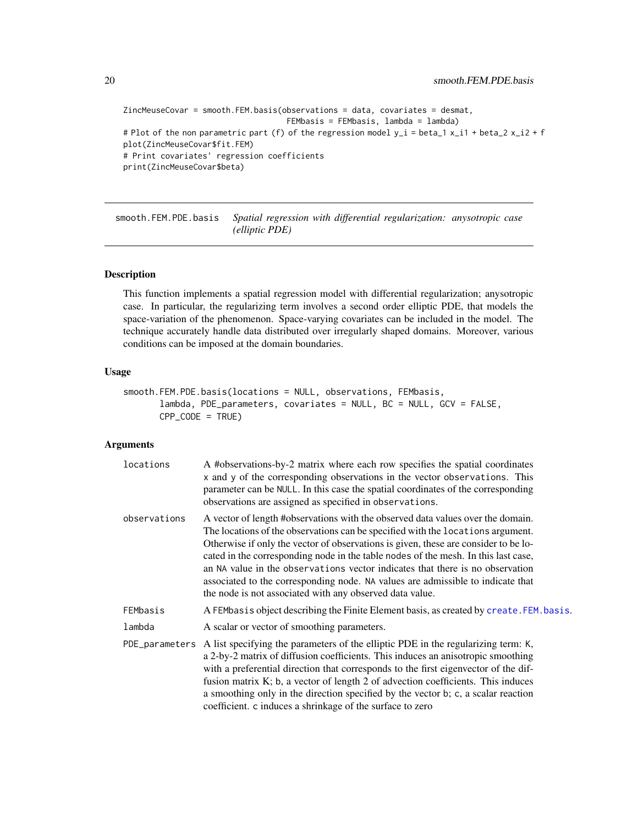```
ZincMeuseCovar = smooth.FEM.basis(observations = data, covariates = desmat,
                                    FEMbasis = FEMbasis, lambda = lambda)
# Plot of the non parametric part (f) of the regression model y_i = beta_1 x_i + beta_2 x_i^2 + fplot(ZincMeuseCovar$fit.FEM)
# Print covariates' regression coefficients
print(ZincMeuseCovar$beta)
```
<span id="page-19-1"></span>smooth.FEM.PDE.basis *Spatial regression with differential regularization: anysotropic case (elliptic PDE)*

#### Description

This function implements a spatial regression model with differential regularization; anysotropic case. In particular, the regularizing term involves a second order elliptic PDE, that models the space-variation of the phenomenon. Space-varying covariates can be included in the model. The technique accurately handle data distributed over irregularly shaped domains. Moreover, various conditions can be imposed at the domain boundaries.

## Usage

```
smooth.FEM.PDE.basis(locations = NULL, observations, FEMbasis,
       lambda, PDE_parameters, covariates = NULL, BC = NULL, GCV = FALSE,
       CPP_CODE = TRUE)
```
#### Arguments

| locations    | A #observations-by-2 matrix where each row specifies the spatial coordinates<br>x and y of the corresponding observations in the vector observations. This<br>parameter can be NULL. In this case the spatial coordinates of the corresponding<br>observations are assigned as specified in observations.                                                                                                                                                                                                                                                                       |
|--------------|---------------------------------------------------------------------------------------------------------------------------------------------------------------------------------------------------------------------------------------------------------------------------------------------------------------------------------------------------------------------------------------------------------------------------------------------------------------------------------------------------------------------------------------------------------------------------------|
| observations | A vector of length #observations with the observed data values over the domain.<br>The locations of the observations can be specified with the locations argument.<br>Otherwise if only the vector of observations is given, these are consider to be lo-<br>cated in the corresponding node in the table nodes of the mesh. In this last case,<br>an NA value in the observations vector indicates that there is no observation<br>associated to the corresponding node. NA values are admissible to indicate that<br>the node is not associated with any observed data value. |
| FEMbasis     | A FEMbasis object describing the Finite Element basis, as created by create. FEM. basis.                                                                                                                                                                                                                                                                                                                                                                                                                                                                                        |
| lambda       | A scalar or vector of smoothing parameters.                                                                                                                                                                                                                                                                                                                                                                                                                                                                                                                                     |
|              | PDE parameters A list specifying the parameters of the elliptic PDE in the regularizing term: K,<br>a 2-by-2 matrix of diffusion coefficients. This induces an anisotropic smoothing<br>with a preferential direction that corresponds to the first eigenvector of the dif-<br>fusion matrix K; b, a vector of length 2 of advection coefficients. This induces<br>a smoothing only in the direction specified by the vector b; c, a scalar reaction<br>coefficient. c induces a shrinkage of the surface to zero                                                               |

<span id="page-19-0"></span>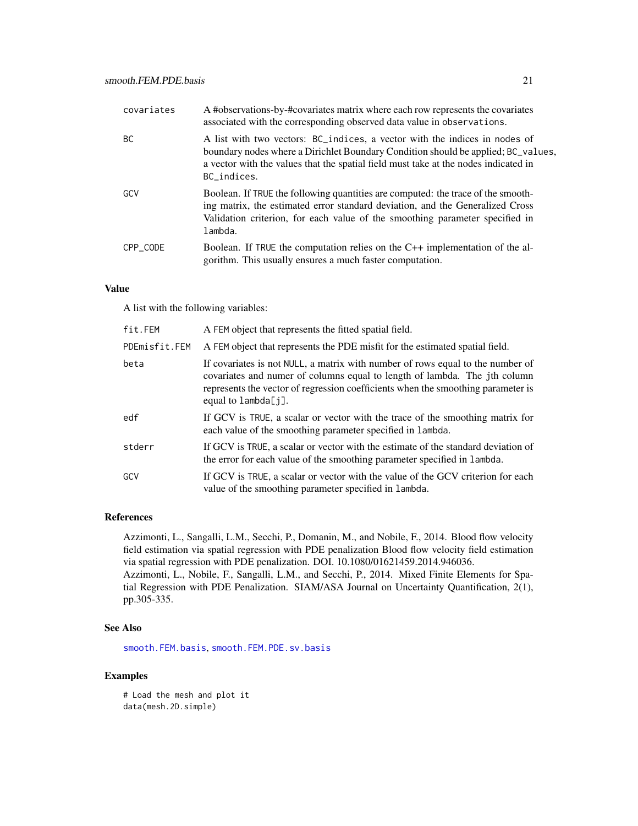<span id="page-20-0"></span>

| covariates | A #observations-by-#covariates matrix where each row represents the covariates<br>associated with the corresponding observed data value in observations.                                                                                                              |
|------------|-----------------------------------------------------------------------------------------------------------------------------------------------------------------------------------------------------------------------------------------------------------------------|
| <b>BC</b>  | A list with two vectors: BC_indices, a vector with the indices in nodes of<br>boundary nodes where a Dirichlet Boundary Condition should be applied; BC_values,<br>a vector with the values that the spatial field must take at the nodes indicated in<br>BC indices. |
| GCV        | Boolean. If TRUE the following quantities are computed: the trace of the smooth-<br>ing matrix, the estimated error standard deviation, and the Generalized Cross<br>Validation criterion, for each value of the smoothing parameter specified in<br>lambda.          |
| CPP CODE   | Boolean. If TRUE the computation relies on the $C++$ implementation of the al-<br>gorithm. This usually ensures a much faster computation.                                                                                                                            |

#### Value

A list with the following variables:

| fit.FEM       | A FEM object that represents the fitted spatial field.                                                                                                                                                                                                                    |
|---------------|---------------------------------------------------------------------------------------------------------------------------------------------------------------------------------------------------------------------------------------------------------------------------|
| PDEmisfit.FEM | A FEM object that represents the PDE misfit for the estimated spatial field.                                                                                                                                                                                              |
| beta          | If covariates is not NULL, a matrix with number of rows equal to the number of<br>covariates and numer of columns equal to length of lambda. The jth column<br>represents the vector of regression coefficients when the smoothing parameter is<br>equal to $lambda[i]$ . |
| edf           | If GCV is TRUE, a scalar or vector with the trace of the smoothing matrix for<br>each value of the smoothing parameter specified in lambda.                                                                                                                               |
| stderr        | If GCV is TRUE, a scalar or vector with the estimate of the standard deviation of<br>the error for each value of the smoothing parameter specified in lambda.                                                                                                             |
| GCV           | If GCV is TRUE, a scalar or vector with the value of the GCV criterion for each<br>value of the smoothing parameter specified in lambda.                                                                                                                                  |

#### References

Azzimonti, L., Sangalli, L.M., Secchi, P., Domanin, M., and Nobile, F., 2014. Blood flow velocity field estimation via spatial regression with PDE penalization Blood flow velocity field estimation via spatial regression with PDE penalization. DOI. 10.1080/01621459.2014.946036. Azzimonti, L., Nobile, F., Sangalli, L.M., and Secchi, P., 2014. Mixed Finite Elements for Spatial Regression with PDE Penalization. SIAM/ASA Journal on Uncertainty Quantification, 2(1),

#### See Also

pp.305-335.

[smooth.FEM.basis](#page-17-1), [smooth.FEM.PDE.sv.basis](#page-21-1)

## Examples

# Load the mesh and plot it data(mesh.2D.simple)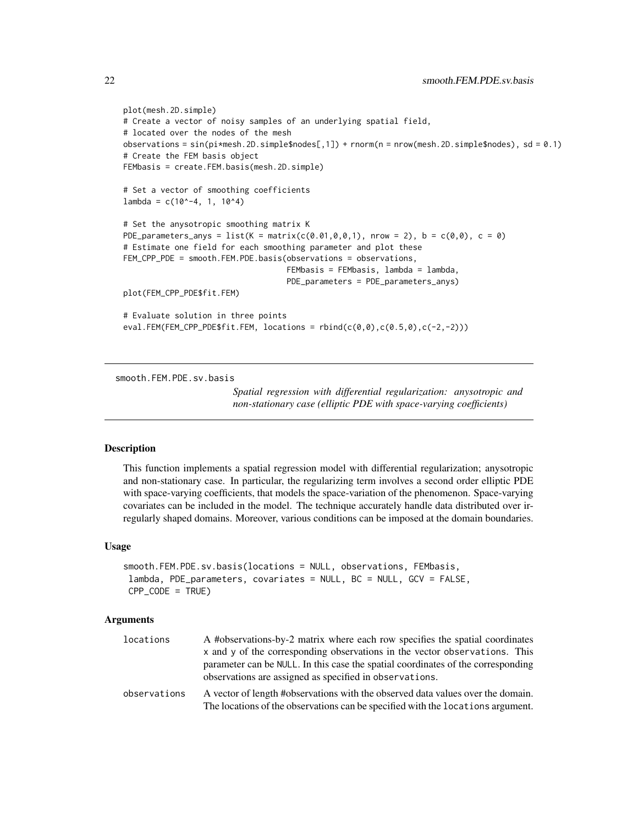```
plot(mesh.2D.simple)
# Create a vector of noisy samples of an underlying spatial field,
# located over the nodes of the mesh
observations = sin(pi*mesh.2D.simple$nodes[,1]) + rnorm(n = nrow(mesh.2D.simple$nodes), sd = 0.1)
# Create the FEM basis object
FEMbasis = create.FEM.basis(mesh.2D.simple)
# Set a vector of smoothing coefficients
lambda = c(10^{\circ}-4, 1, 10^{\circ}4)# Set the anysotropic smoothing matrix K
PDE_parameters_anys = list(K = matrix(c(0.01,0,0,1), nrow = 2), b = c(0,0), c = 0)
# Estimate one field for each smoothing parameter and plot these
FEM_CPP_PDE = smooth.FEM.PDE.basis(observations = observations,
                                     FEMbasis = FEMbasis, lambda = lambda,
                                    PDE_parameters = PDE_parameters_anys)
plot(FEM_CPP_PDE$fit.FEM)
# Evaluate solution in three points
eval.FEM(FEM_CPP_PDE$fit.FEM, locations = rbind(c(\theta,\theta),c(\theta.5,\theta),c(-2,-2)))
```
<span id="page-21-1"></span>smooth.FEM.PDE.sv.basis

*Spatial regression with differential regularization: anysotropic and non-stationary case (elliptic PDE with space-varying coefficients)*

#### **Description**

This function implements a spatial regression model with differential regularization; anysotropic and non-stationary case. In particular, the regularizing term involves a second order elliptic PDE with space-varying coefficients, that models the space-variation of the phenomenon. Space-varying covariates can be included in the model. The technique accurately handle data distributed over irregularly shaped domains. Moreover, various conditions can be imposed at the domain boundaries.

#### Usage

```
smooth.FEM.PDE.sv.basis(locations = NULL, observations, FEMbasis,
lambda, PDE_parameters, covariates = NULL, BC = NULL, GCV = FALSE,
CPP\_CODE = TRUE)
```
#### Arguments

| locations    | A #observations-by-2 matrix where each row specifies the spatial coordinates                                                                                       |
|--------------|--------------------------------------------------------------------------------------------------------------------------------------------------------------------|
|              | x and y of the corresponding observations in the vector observations. This                                                                                         |
|              | parameter can be NULL. In this case the spatial coordinates of the corresponding<br>observations are assigned as specified in observations.                        |
| observations | A vector of length #observations with the observed data values over the domain.<br>The locations of the observations can be specified with the locations argument. |

<span id="page-21-0"></span>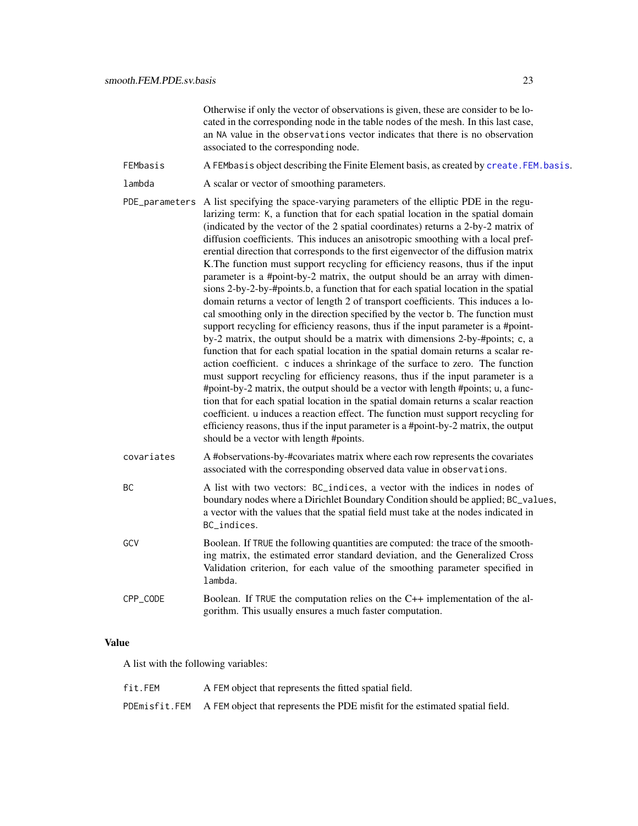Otherwise if only the vector of observations is given, these are consider to be located in the corresponding node in the table nodes of the mesh. In this last case, an NA value in the observations vector indicates that there is no observation associated to the corresponding node.

- <span id="page-22-0"></span>FEMbasis A FEMbasis object describing the Finite Element basis, as created by create. FEM. basis.
- lambda A scalar or vector of smoothing parameters.
- PDE\_parameters A list specifying the space-varying parameters of the elliptic PDE in the regularizing term: K, a function that for each spatial location in the spatial domain (indicated by the vector of the 2 spatial coordinates) returns a 2-by-2 matrix of diffusion coefficients. This induces an anisotropic smoothing with a local preferential direction that corresponds to the first eigenvector of the diffusion matrix K.The function must support recycling for efficiency reasons, thus if the input parameter is a #point-by-2 matrix, the output should be an array with dimensions 2-by-2-by-#points.b, a function that for each spatial location in the spatial domain returns a vector of length 2 of transport coefficients. This induces a local smoothing only in the direction specified by the vector b. The function must support recycling for efficiency reasons, thus if the input parameter is a #pointby-2 matrix, the output should be a matrix with dimensions 2-by-#points; c, a function that for each spatial location in the spatial domain returns a scalar reaction coefficient. c induces a shrinkage of the surface to zero. The function must support recycling for efficiency reasons, thus if the input parameter is a #point-by-2 matrix, the output should be a vector with length #points; u, a function that for each spatial location in the spatial domain returns a scalar reaction coefficient. u induces a reaction effect. The function must support recycling for efficiency reasons, thus if the input parameter is a #point-by-2 matrix, the output should be a vector with length #points.
- covariates A #observations-by-#covariates matrix where each row represents the covariates associated with the corresponding observed data value in observations.
- BC A list with two vectors: BC\_indices, a vector with the indices in nodes of boundary nodes where a Dirichlet Boundary Condition should be applied; BC\_values, a vector with the values that the spatial field must take at the nodes indicated in BC\_indices.
- GCV Boolean. If TRUE the following quantities are computed: the trace of the smoothing matrix, the estimated error standard deviation, and the Generalized Cross Validation criterion, for each value of the smoothing parameter specified in lambda.
- CPP\_CODE Boolean. If TRUE the computation relies on the C++ implementation of the algorithm. This usually ensures a much faster computation.

## Value

A list with the following variables:

| fit.FEM | A FEM object that represents the fitted spatial field.                                     |
|---------|--------------------------------------------------------------------------------------------|
|         | PDEmisfit.FEM A FEM object that represents the PDE misfit for the estimated spatial field. |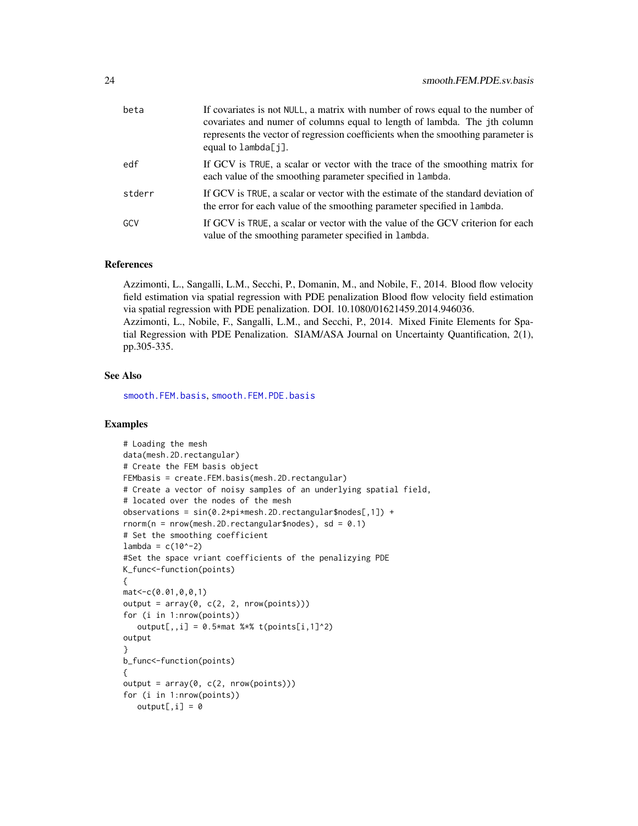<span id="page-23-0"></span>

| beta   | If covariates is not NULL, a matrix with number of rows equal to the number of<br>covariates and numer of columns equal to length of lambda. The jth column<br>represents the vector of regression coefficients when the smoothing parameter is<br>equal to $lambda[i]$ . |
|--------|---------------------------------------------------------------------------------------------------------------------------------------------------------------------------------------------------------------------------------------------------------------------------|
| edf    | If GCV is TRUE, a scalar or vector with the trace of the smoothing matrix for<br>each value of the smoothing parameter specified in lambda.                                                                                                                               |
| stderr | If GCV is TRUE, a scalar or vector with the estimate of the standard deviation of<br>the error for each value of the smoothing parameter specified in lambda.                                                                                                             |
| GCV    | If GCV is TRUE, a scalar or vector with the value of the GCV criterion for each<br>value of the smoothing parameter specified in lambda.                                                                                                                                  |

#### References

Azzimonti, L., Sangalli, L.M., Secchi, P., Domanin, M., and Nobile, F., 2014. Blood flow velocity field estimation via spatial regression with PDE penalization Blood flow velocity field estimation via spatial regression with PDE penalization. DOI. 10.1080/01621459.2014.946036. Azzimonti, L., Nobile, F., Sangalli, L.M., and Secchi, P., 2014. Mixed Finite Elements for Spatial Regression with PDE Penalization. SIAM/ASA Journal on Uncertainty Quantification, 2(1),

#### See Also

pp.305-335.

[smooth.FEM.basis](#page-17-1), [smooth.FEM.PDE.basis](#page-19-1)

## Examples

```
# Loading the mesh
data(mesh.2D.rectangular)
# Create the FEM basis object
FEMbasis = create.FEM.basis(mesh.2D.rectangular)
# Create a vector of noisy samples of an underlying spatial field,
# located over the nodes of the mesh
observations = sin(0.2*pi*mesh.2D.rectangular$nodes[,1]) +
rnorm(n = nrow(mesh.2D.rectangular\$nodes), sd = 0.1)
# Set the smoothing coefficient
lambda = c(10^{\circ}-2)#Set the space vriant coefficients of the penalizying PDE
K_func<-function(points)
{
mat<-c(0.01,0,0,1)
output = array(0, c(2, 2, nrow(points)))for (i in 1:nrow(points))
   output[,, i] = 0.5*mat % * t(points[i, 1]^2)
output
}
b_func<-function(points)
{
output = array(0, c(2, nrow(points)))for (i in 1:nrow(points))
  output[, i] = 0
```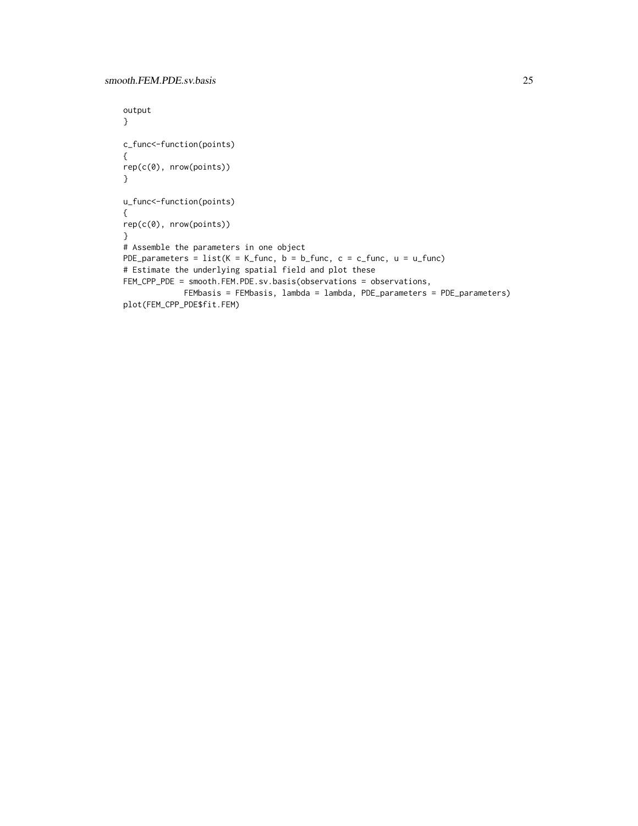```
output
}
c_func<-function(points)
{
rep(c(0), nrow(points))
}
u_func<-function(points)
{
rep(c(0), nrow(points))
}
# Assemble the parameters in one object
PDE_parameters = list(K = K_func, b = b_func, c = c_func, u = u_func)# Estimate the underlying spatial field and plot these
FEM_CPP_PDE = smooth.FEM.PDE.sv.basis(observations = observations,
             FEMbasis = FEMbasis, lambda = lambda, PDE_parameters = PDE_parameters)
plot(FEM_CPP_PDE$fit.FEM)
```